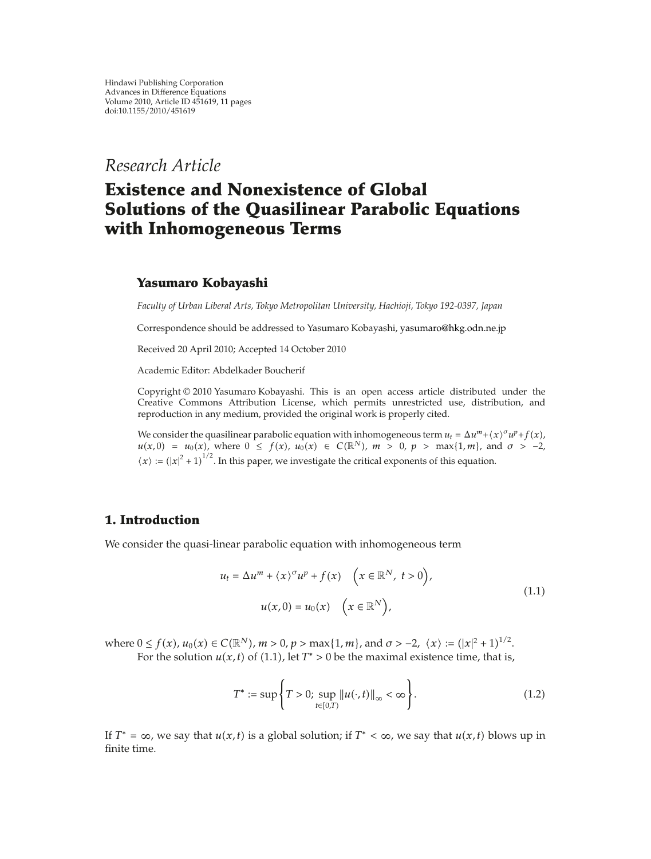*Research Article*

# **Existence and Nonexistence of Global Solutions of the Quasilinear Parabolic Equations with Inhomogeneous Terms**

# **Yasumaro Kobayashi**

*Faculty of Urban Liberal Arts, Tokyo Metropolitan University, Hachioji, Tokyo 192-0397, Japan*

Correspondence should be addressed to Yasumaro Kobayashi, yasumaro@hkg.odn.ne.jp

Received 20 April 2010; Accepted 14 October 2010

Academic Editor: Abdelkader Boucherif

Copyright © 2010 Yasumaro Kobayashi. This is an open access article distributed under the Creative Commons Attribution License, which permits unrestricted use, distribution, and reproduction in any medium, provided the original work is properly cited.

We consider the quasilinear parabolic equation with inhomogeneous term  $u_t = \Delta u^m + \langle x \rangle^{\sigma} u^p + f(x)$ ,  $u(x,0) = u_0(x)$ , where  $0 \le f(x)$ ,  $u_0(x) \in C(\mathbb{R}^N)$ ,  $m > 0$ ,  $p > \max\{1,m\}$ , and  $\sigma > -2$ ,  $\langle x \rangle := (|x|^2 + 1)^{1/2}$ . In this paper, we investigate the critical exponents of this equation.

# **1. Introduction**

We consider the quasi-linear parabolic equation with inhomogeneous term

$$
u_t = \Delta u^m + \langle x \rangle^{\sigma} u^p + f(x) \quad \left( x \in \mathbb{R}^N, \ t > 0 \right),
$$
  

$$
u(x, 0) = u_0(x) \quad \left( x \in \mathbb{R}^N \right),
$$
 (1.1)

where  $0 \le f(x)$ ,  $u_0(x) \in C(\mathbb{R}^N)$ ,  $m > 0$ ,  $p > \max\{1, m\}$ , and  $\sigma > -2$ ,  $\langle x \rangle := (|x|^2 + 1)^{1/2}$ . For the solution  $u(x, t)$  of (1.1), let  $T^* > 0$  be the maximal existence time, that is,

$$
T^* := \sup \left\{ T > 0; \sup_{t \in [0,T)} ||u(\cdot, t)||_{\infty} < \infty \right\}.
$$
 (1.2)

If  $T^* = \infty$ , we say that  $u(x, t)$  is a global solution; if  $T^* < \infty$ , we say that  $u(x, t)$  blows up in finite time.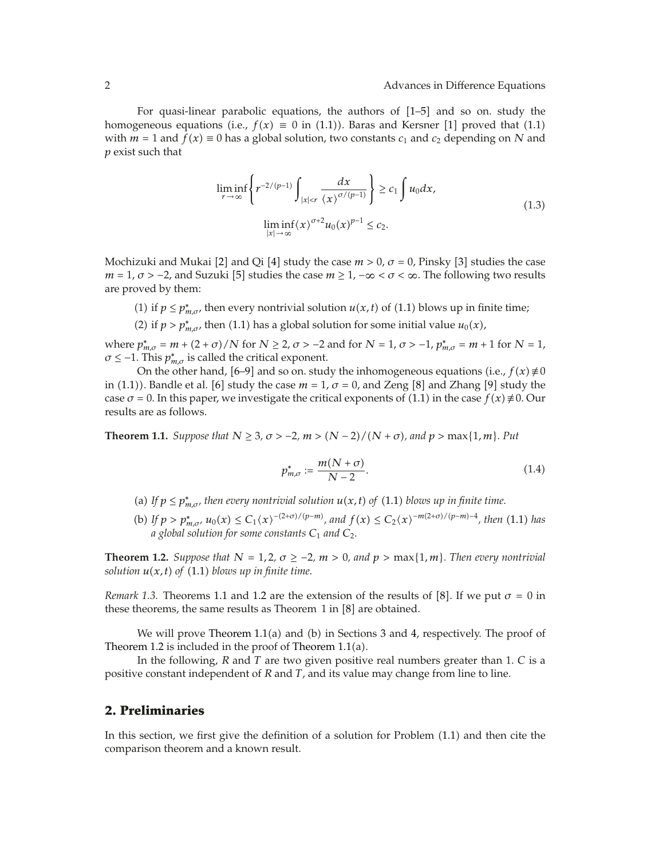For quasi-linear parabolic equations, the authors of  $[1–5]$  and so on. study the homogeneous equations (i.e.,  $f(x) \equiv 0$  in (1.1)). Baras and Kersner [1] proved that (1.1) with  $m = 1$  and  $f(x) \equiv 0$  has a global solution, two constants  $c_1$  and  $c_2$  depending on N and *p* exist such that

$$
\liminf_{r \to \infty} \left\{ r^{-2/(p-1)} \int_{|x| < r} \frac{dx}{\langle x \rangle^{\sigma/(p-1)}} \right\} \ge c_1 \int u_0 dx,
$$
\n
$$
\liminf_{|x| \to \infty} \langle x \rangle^{\sigma+2} u_0(x)^{p-1} \le c_2.
$$
\n(1.3)

Mochizuki and Mukai [2] and Qi [4] study the case  $m > 0$ ,  $\sigma = 0$ , Pinsky [3] studies the case  $m = 1, \sigma > -2$ , and Suzuki [5] studies the case  $m \ge 1, -\infty < \sigma < \infty$ . The following two results are proved by them:

- (1) if  $p \le p_{m,\sigma}^*$ , then every nontrivial solution  $u(x,t)$  of (1.1) blows up in finite time;
- (2) if *p* >  $p_{m,\sigma}^*$ , then (1.1) has a global solution for some initial value *u*<sub>0</sub>(*x*),

 $m_{m,\sigma} = m + (2 + \sigma) / N$  for  $N \ge 2$ ,  $\sigma > -2$  and for  $N = 1$ ,  $\sigma > -1$ ,  $p_{m,\sigma}^{*} = m + 1$  for  $N = 1$ ,  $\sigma \leq -1$ . This  $p_{m,\sigma}^*$  is called the critical exponent.

On the other hand, [6–9] and so on. study the inhomogeneous equations (i.e.,  $f(x) \neq 0$ in (1.1)). Bandle et al. [6] study the case  $m = 1$ ,  $\sigma = 0$ , and Zeng [8] and Zhang [9] study the case  $\sigma$  = 0. In this paper, we investigate the critical exponents of (1.1) in the case  $f(x) \neq 0$ . Our results are as follows.

**Theorem 1.1.** *Suppose that*  $N \geq 3$ ,  $\sigma > -2$ ,  $m > (N - 2)/(N + \sigma)$ , and  $p > \max\{1, m\}$ . Put

$$
p_{m,\sigma}^* := \frac{m(N+\sigma)}{N-2}.
$$
\n(1.4)

- (a) If  $p \le p_{m,\sigma}^*$ , then every nontrivial solution  $u(x,t)$  of (1.1) blows up in finite time.
- (b) If  $p > p_{m,\sigma}^*$ ,  $u_0(x) \le C_1(x)^{-(2+\sigma)/(p-m)}$ , and  $f(x) \le C_2(x)^{-m(2+\sigma)/(p-m)-4}$ , then (1.1) has *a global solution for some constants C*<sup>1</sup> *and C*2*.*

**Theorem 1.2.** *Suppose that*  $N = 1, 2, \sigma \ge -2, m > 0$ , and  $p > \max\{1, m\}$ . Then every nontrivial *solution*  $u(x, t)$  *of* (1.1) *blows up in finite time.* 

*Remark* 1.3. Theorems 1.1 and 1.2 are the extension of the results of [8]. If we put  $\sigma = 0$  in these theorems, the same results as Theorem 1 in  $[8]$  are obtained.

We will prove Theorem  $1.1(a)$  and (b) in Sections 3 and 4, respectively. The proof of Theorem 1.2 is included in the proof of Theorem  $1.1(a)$ .

In the following, *R* and *T* are two given positive real numbers greater than 1. *C* is a positive constant independent of *R* and *T*, and its value may change from line to line.

#### **2. Preliminaries**

In this section, we first give the definition of a solution for Problem  $(1.1)$  and then cite the comparison theorem and a known result.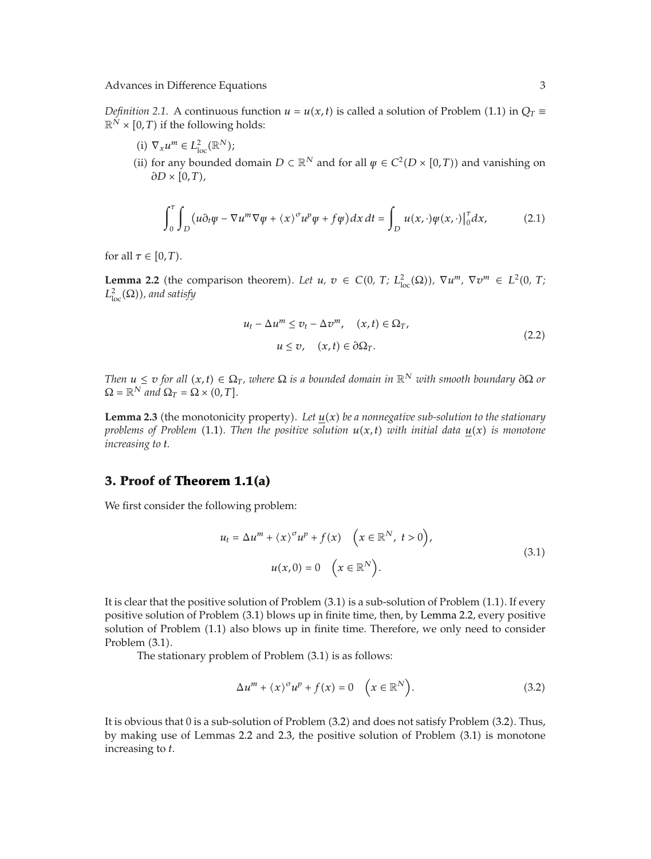*Definition 2.1.* A continuous function  $u = u(x, t)$  is called a solution of Problem (1.1) in  $Q_T \equiv$  $\mathbb{R}^N \times [0, T)$  if the following holds:

- (i)  $\nabla_x u^m \in L^2_{\text{loc}}(\mathbb{R}^N);$
- (ii) for any bounded domain  $D \subset \mathbb{R}^N$  and for all  $\psi \in C^2(D \times [0,T))$  and vanishing on  $\partial D \times [0,T)$ ,

$$
\int_0^{\tau} \int_D \left( u \partial_t \varphi - \nabla u^m \nabla \varphi + \langle x \rangle^{\sigma} u^p \varphi + f \varphi \right) dx dt = \int_D u(x, \cdot) \varphi(x, \cdot) \big|_0^{\tau} dx, \tag{2.1}
$$

for all  $\tau \in [0, T)$ .

**Lemma 2.2** (the comparison theorem). Let  $u, v \in C(0, T; L^2_{loc}(\Omega))$ ,  $\nabla u^m, \nabla v^m \in L^2(0, T; L^2_{loc}(\Omega))$  $L^2_{\text{loc}}(\Omega)$ ), and satisfy

$$
u_t - \Delta u^m \le v_t - \Delta v^m, \quad (x, t) \in \Omega_T,
$$
  

$$
u \le v, \quad (x, t) \in \partial \Omega_T.
$$
 (2.2)

*Then*  $u \le v$  *for all*  $(x, t) \in \Omega_T$ *, where*  $\Omega$  *is a bounded domain in*  $\mathbb{R}^N$  *with smooth boundary*  $\partial \Omega$  *or*  $\Omega = \mathbb{R}^N$  *and*  $\Omega_T = \Omega \times (0, T)$ .

**Lemma 2.3** (the monotonicity property). Let  $\underline{u}(x)$  be a nonnegative sub-solution to the stationary *problems of Problem* (1.1). Then the positive solution  $u(x,t)$  with initial data  $u(x)$  is monotone *increasing to t.*

#### **3. Proof of Theorem 1.1(a)**

We first consider the following problem:

$$
u_t = \Delta u^m + \langle x \rangle^{\sigma} u^p + f(x) \quad \left( x \in \mathbb{R}^N, \ t > 0 \right),
$$
  

$$
u(x, 0) = 0 \quad \left( x \in \mathbb{R}^N \right).
$$
 (3.1)

It is clear that the positive solution of Problem (3.1) is a sub-solution of Problem (1.1). If every positive solution of Problem 3.1 blows up in finite time, then, by Lemma 2.2, every positive solution of Problem  $(1.1)$  also blows up in finite time. Therefore, we only need to consider Problem  $(3.1)$ .

The stationary problem of Problem  $(3.1)$  is as follows:

$$
\Delta u^m + \langle x \rangle^{\sigma} u^p + f(x) = 0 \quad \left( x \in \mathbb{R}^N \right). \tag{3.2}
$$

It is obvious that 0 is a sub-solution of Problem  $(3.2)$  and does not satisfy Problem  $(3.2)$ . Thus, by making use of Lemmas 2.2 and 2.3, the positive solution of Problem  $(3.1)$  is monotone increasing to *t*.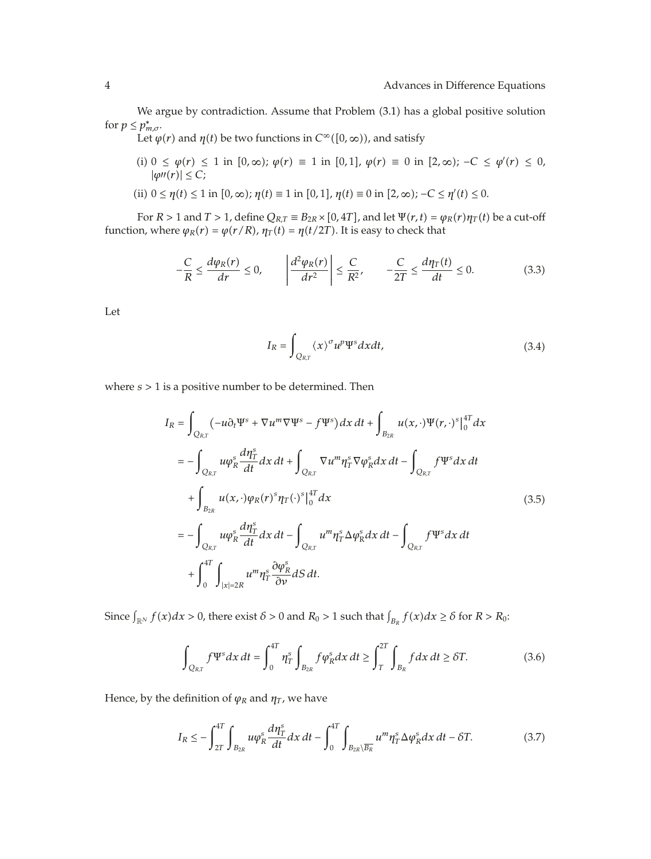We argue by contradiction. Assume that Problem (3.1) has a global positive solution for  $p \le p_{m,\sigma}^*$ .

Let  $\varphi(r)$  and  $\eta(t)$  be two functions in  $C^{\infty}([0,\infty))$ , and satisfy

- (i) 0 ≤  $\varphi(r)$  ≤ 1 in [0, ∞);  $\varphi(r)$  ≡ 1 in [0, 1],  $\varphi(r)$  ≡ 0 in [2, ∞); −C ≤  $\varphi'(r)$  ≤ 0,  $|\varphi''(r)| \leq C$ ;
- $(iii)$   $0 \le \eta(t) \le 1$  in  $[0, \infty)$ ;  $\eta(t) \equiv 1$  in  $[0, 1]$ ,  $\eta(t) \equiv 0$  in  $[2, \infty)$ ;  $-C \le \eta'(t) \le 0$ .

For  $R > 1$  and  $T > 1$ , define  $Q_{R,T} \equiv B_{2R} \times [0, 4T]$ , and let  $\Psi(r, t) = \varphi_R(r) \eta_T(t)$  be a cut-off function, where  $\varphi_R(r) = \varphi(r/R)$ ,  $\eta_T(t) = \eta(t/2T)$ . It is easy to check that

$$
-\frac{C}{R} \le \frac{d\varphi_R(r)}{dr} \le 0, \qquad \left|\frac{d^2\varphi_R(r)}{dr^2}\right| \le \frac{C}{R^2}, \qquad -\frac{C}{2T} \le \frac{d\eta_T(t)}{dt} \le 0. \tag{3.3}
$$

Let

$$
I_R = \int_{Q_{RT}} \langle x \rangle^{\sigma} u^p \Psi^s dx dt,
$$
\n(3.4)

where *s >* 1 is a positive number to be determined. Then

$$
I_{R} = \int_{Q_{R,T}} (-u\partial_{t} \Psi^{s} + \nabla u^{m} \nabla \Psi^{s} - f \Psi^{s}) dx dt + \int_{B_{2R}} u(x, \cdot) \Psi(r, \cdot)^{s} \Big|_{0}^{4T} dx
$$
  
\n
$$
= - \int_{Q_{R,T}} u \varphi_{R}^{s} \frac{d\eta_{T}^{s}}{dt} dx dt + \int_{Q_{R,T}} \nabla u^{m} \eta_{T}^{s} \nabla \varphi_{R}^{s} dx dt - \int_{Q_{R,T}} f \Psi^{s} dx dt
$$
  
\n
$$
+ \int_{B_{2R}} u(x, \cdot) \varphi_{R}(r)^{s} \eta_{T}(\cdot)^{s} \Big|_{0}^{4T} dx
$$
  
\n
$$
= - \int_{Q_{R,T}} u \varphi_{R}^{s} \frac{d\eta_{T}^{s}}{dt} dx dt - \int_{Q_{R,T}} u^{m} \eta_{T}^{s} \Delta \varphi_{R}^{s} dx dt - \int_{Q_{R,T}} f \Psi^{s} dx dt
$$
  
\n
$$
+ \int_{0}^{4T} \int_{|x| = 2R} u^{m} \eta_{T}^{s} \frac{\partial \varphi_{R}^{s}}{\partial \nu} dS dt.
$$
  
\n(3.5)

Since  $\int_{\mathbb{R}^N} f(x) dx > 0$ , there exist  $\delta > 0$  and  $R_0 > 1$  such that  $\int_{B_R} f(x) dx \ge \delta$  for  $R > R_0$ :

$$
\int_{Q_{R,T}} f \Psi^s dx dt = \int_0^{4T} \eta_T^s \int_{B_{2R}} f \varphi_R^s dx dt \ge \int_T^{2T} \int_{B_R} f dx dt \ge \delta T. \tag{3.6}
$$

Hence, by the definition of  $\varphi_R$  and  $\eta_T$ , we have

$$
I_R \leq -\int_{2T}^{4T} \int_{B_{2R}} u\varphi_R^s \frac{d\eta_T^s}{dt} dx dt - \int_0^{4T} \int_{B_{2R}\setminus\overline{B_R}} u^m \eta_T^s \Delta \varphi_R^s dx dt - \delta T. \tag{3.7}
$$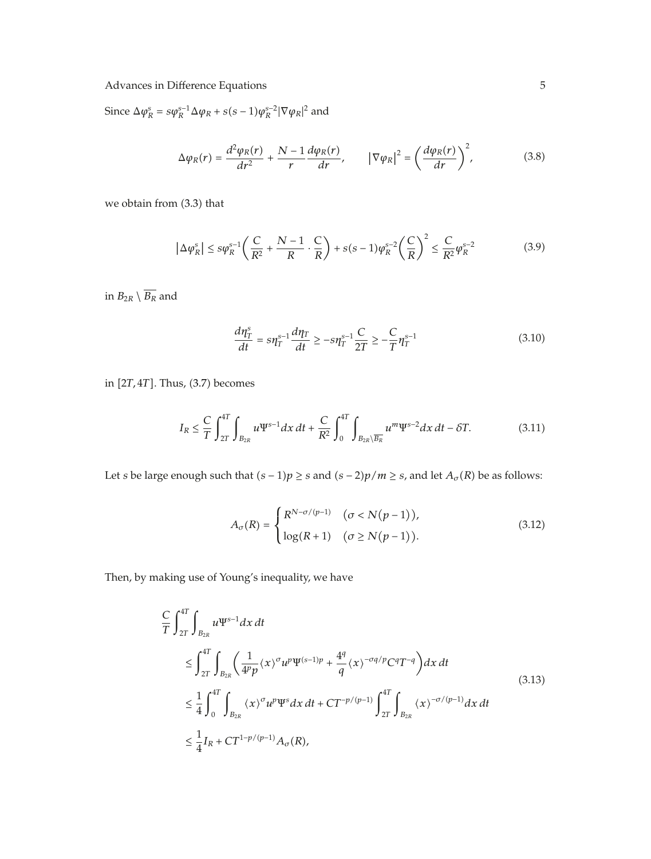Since  $\Delta \varphi_R^s = s\varphi_R^{s-1} \Delta \varphi_R + s(s-1)\varphi_R^{s-2} |\nabla \varphi_R|^2$  and

$$
\Delta \varphi_R(r) = \frac{d^2 \varphi_R(r)}{dr^2} + \frac{N-1}{r} \frac{d \varphi_R(r)}{dr}, \qquad |\nabla \varphi_R|^2 = \left(\frac{d \varphi_R(r)}{dr}\right)^2,\tag{3.8}
$$

we obtain from  $(3.3)$  that

$$
\left| \Delta \varphi_R^s \right| \le s \varphi_R^{s-1} \left( \frac{C}{R^2} + \frac{N-1}{R} \cdot \frac{C}{R} \right) + s(s-1) \varphi_R^{s-2} \left( \frac{C}{R} \right)^2 \le \frac{C}{R^2} \varphi_R^{s-2}
$$
(3.9)

in  $B_{2R} \setminus \overline{B_R}$  and

$$
\frac{d\eta_T^s}{dt} = s\eta_T^{s-1} \frac{d\eta_T}{dt} \ge -s\eta_T^{s-1} \frac{C}{2T} \ge -\frac{C}{T} \eta_T^{s-1}
$$
\n(3.10)

in [2*T*, 4*T*]. Thus, (3.7) becomes

$$
I_R \leq \frac{C}{T} \int_{2T}^{4T} \int_{B_{2R}} u \Psi^{s-1} dx \, dt + \frac{C}{R^2} \int_0^{4T} \int_{B_{2R} \setminus \overline{B_R}} u^m \Psi^{s-2} dx \, dt - \delta T. \tag{3.11}
$$

Let *s* be large enough such that  $(s − 1)p ≥ s$  and  $(s − 2)p/m ≥ s$ , and let  $A<sub>σ</sub>(R)$  be as follows:

$$
A_{\sigma}(R) = \begin{cases} R^{N-\sigma/(p-1)} & (\sigma < N(p-1)), \\ \log(R+1) & (\sigma \ge N(p-1)). \end{cases}
$$
 (3.12)

Then, by making use of Young's inequality, we have

$$
\frac{C}{T} \int_{2T}^{4T} \int_{B_{2R}} u \Psi^{s-1} dx dt
$$
\n
$$
\leq \int_{2T}^{4T} \int_{B_{2R}} \left( \frac{1}{4^p p} \langle x \rangle^{\sigma} u^p \Psi^{(s-1)p} + \frac{4^q}{q} \langle x \rangle^{-\sigma q/p} C^q T^{-q} \right) dx dt
$$
\n
$$
\leq \frac{1}{4} \int_0^{4T} \int_{B_{2R}} \langle x \rangle^{\sigma} u^p \Psi^s dx dt + C T^{-p/(p-1)} \int_{2T}^{4T} \int_{B_{2R}} \langle x \rangle^{-\sigma/(p-1)} dx dt
$$
\n
$$
\leq \frac{1}{4} I_R + C T^{1-p/(p-1)} A_{\sigma}(R),
$$
\n(3.13)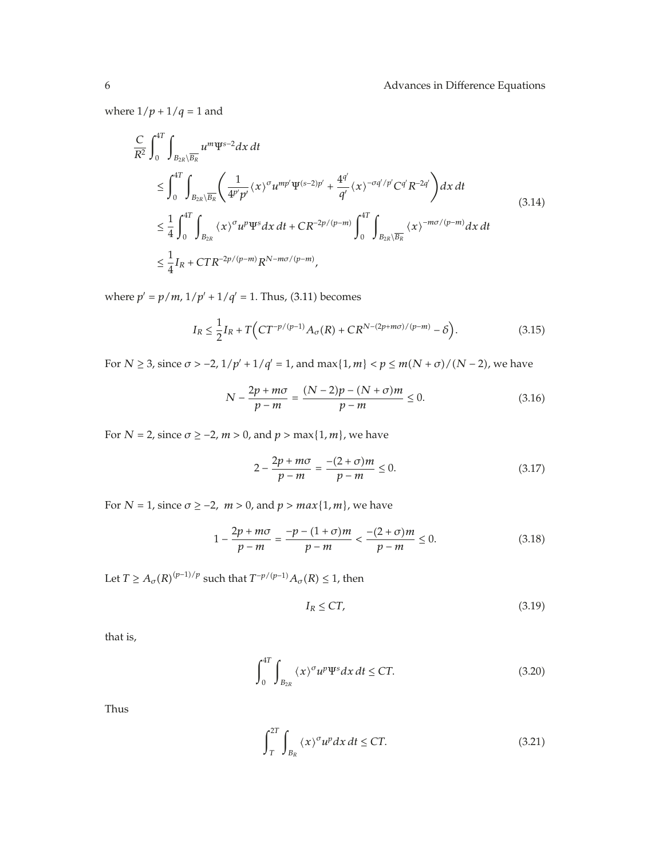where  $1/p + 1/q = 1$  and

$$
\frac{C}{R^2} \int_0^{4T} \int_{B_{2R} \setminus \overline{B_R}} u^m \Psi^{s-2} dx dt
$$
\n
$$
\leq \int_0^{4T} \int_{B_{2R} \setminus \overline{B_R}} \left( \frac{1}{4^{p'} p'} \langle x \rangle^{\sigma} u^{mp'} \Psi^{(s-2)p'} + \frac{4^{q'}}{q'} \langle x \rangle^{-\sigma q'/p'} C^{q'} R^{-2q'} \right) dx dt
$$
\n
$$
\leq \frac{1}{4} \int_0^{4T} \int_{B_{2R}} \langle x \rangle^{\sigma} u^p \Psi^s dx dt + C R^{-2p/(p-m)} \int_0^{4T} \int_{B_{2R} \setminus \overline{B_R}} \langle x \rangle^{-m\sigma/(p-m)} dx dt
$$
\n
$$
\leq \frac{1}{4} I_R + CTR^{-2p/(p-m)} R^{N-m\sigma/(p-m)},
$$
\n(3.14)

where  $p' = p/m$ ,  $1/p' + 1/q' = 1$ . Thus, (3.11) becomes

$$
I_R \le \frac{1}{2} I_R + T \Big( C T^{-p/(p-1)} A_{\sigma}(R) + C R^{N-(2p+m\sigma)/(p-m)} - \delta \Big). \tag{3.15}
$$

For *N* ≥ 3, since  $σ > −2$ ,  $1/p' + 1/q' = 1$ , and  $max{1, m} < p ≤ m(N + σ)/(N − 2)$ , we have

$$
N - \frac{2p + m\sigma}{p - m} = \frac{(N - 2)p - (N + \sigma)m}{p - m} \le 0.
$$
 (3.16)

For  $N = 2$ , since  $\sigma \ge -2$ ,  $m > 0$ , and  $p > \max\{1, m\}$ , we have

$$
2 - \frac{2p + m\sigma}{p - m} = \frac{-(2 + \sigma)m}{p - m} \le 0.
$$
 (3.17)

For  $N = 1$ , since  $\sigma \ge -2$ ,  $m > 0$ , and  $p > max\{1, m\}$ , we have

$$
1 - \frac{2p + m\sigma}{p - m} = \frac{-p - (1 + \sigma)m}{p - m} < \frac{-(2 + \sigma)m}{p - m} \le 0. \tag{3.18}
$$

Let  $T \geq A_{\sigma}(R)^{(p-1)/p}$  such that  $T^{-p/(p-1)}A_{\sigma}(R) \leq 1$ , then

$$
I_R \le CT,\tag{3.19}
$$

that is,

$$
\int_{0}^{4T} \int_{B_{2R}} \langle x \rangle^{\sigma} u^{p} \Psi^{s} dx dt \leq CT.
$$
 (3.20)

Thus

$$
\int_{T}^{2T} \int_{B_R} \langle x \rangle^{\sigma} u^p dx dt \le CT.
$$
 (3.21)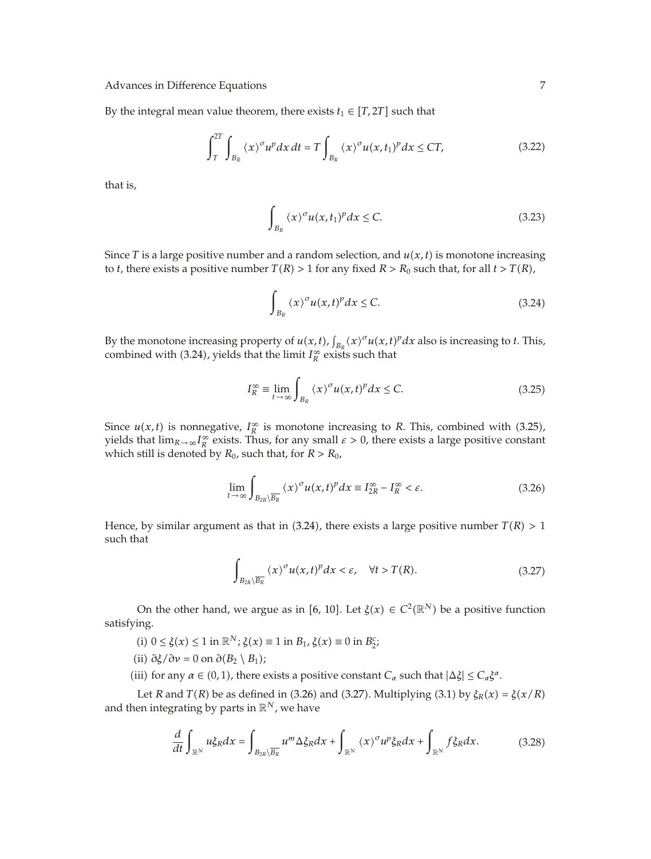By the integral mean value theorem, there exists  $t_1 \in [T, 2T]$  such that

$$
\int_{T}^{2T} \int_{B_R} \langle x \rangle^{\sigma} u^p dx dt = T \int_{B_R} \langle x \rangle^{\sigma} u(x, t_1)^p dx \le CT,
$$
 (3.22)

that is,

$$
\int_{B_R} \langle x \rangle^{\sigma} u(x, t_1)^p dx \le C. \tag{3.23}
$$

Since *T* is a large positive number and a random selection, and  $u(x, t)$  is monotone increasing to *t*, there exists a positive number  $T(R) > 1$  for any fixed  $R > R_0$  such that, for all  $t > T(R)$ ,

$$
\int_{B_R} \langle x \rangle^{\sigma} u(x, t)^p dx \le C. \tag{3.24}
$$

By the monotone increasing property of  $u(x, t)$ ,  $\int_{B_R} (x)^{\sigma} u(x, t)^p dx$  also is increasing to *t*. This, combined with (3.24), yields that the limit  $I_R^{\infty}$  exists such that

$$
I_R^{\infty} \equiv \lim_{t \to \infty} \int_{B_R} \langle x \rangle^{\sigma} u(x, t)^p dx \le C. \tag{3.25}
$$

Since  $u(x,t)$  is nonnegative,  $I_R^{\infty}$  is monotone increasing to *R*. This, combined with (3.25), yields that  $\lim_{R\to\infty}I_R^{\infty}$  exists. Thus, for any small  $\varepsilon>0$ , there exists a large positive constant which still is denoted by  $R_0$ , such that, for  $R > R_0$ ,

$$
\lim_{t \to \infty} \int_{B_{2R} \setminus \overline{B_R}} \langle x \rangle^{\sigma} u(x, t)^p dx \equiv I_{2R}^{\infty} - I_R^{\infty} < \varepsilon. \tag{3.26}
$$

Hence, by similar argument as that in  $(3.24)$ , there exists a large positive number  $T(R) > 1$ such that

$$
\int_{B_{2R}\setminus\overline{B_R}}\left\langle x\right\rangle^{\sigma}u(x,t)^p\,dx<\varepsilon,\quad\forall t>T(R). \tag{3.27}
$$

On the other hand, we argue as in [6, 10]. Let  $\xi(x) \in C^2(\mathbb{R}^N)$  be a positive function satisfying.

- (i)  $0 \le \xi(x) \le 1$  in  $\mathbb{R}^N$ ;  $\xi(x) \equiv 1$  in  $B_1$ ,  $\xi(x) \equiv 0$  in  $B_2^c$ ;
- $(ii)$   $\partial \xi / \partial \nu = 0$  on  $\partial (B_2 \setminus B_1)$ ;
- (iii) for any  $\alpha \in (0, 1)$ , there exists a positive constant  $C_{\alpha}$  such that  $|\Delta \xi| \le C_{\alpha} \xi^{\alpha}$ .

Let *R* and *T*(*R*) be as defined in (3.26) and (3.27). Multiplying (3.1) by  $\xi_R(x) = \xi(x/R)$ and then integrating by parts in  $\mathbb{R}^N$ , we have

$$
\frac{d}{dt}\int_{\mathbb{R}^N}u\xi_Rdx = \int_{B_{2R}\setminus\overline{B_R}}u^m\Delta\xi_Rdx + \int_{\mathbb{R}^N}\langle x\rangle^{\sigma}u^p\xi_Rdx + \int_{\mathbb{R}^N}f\xi_Rdx.
$$
 (3.28)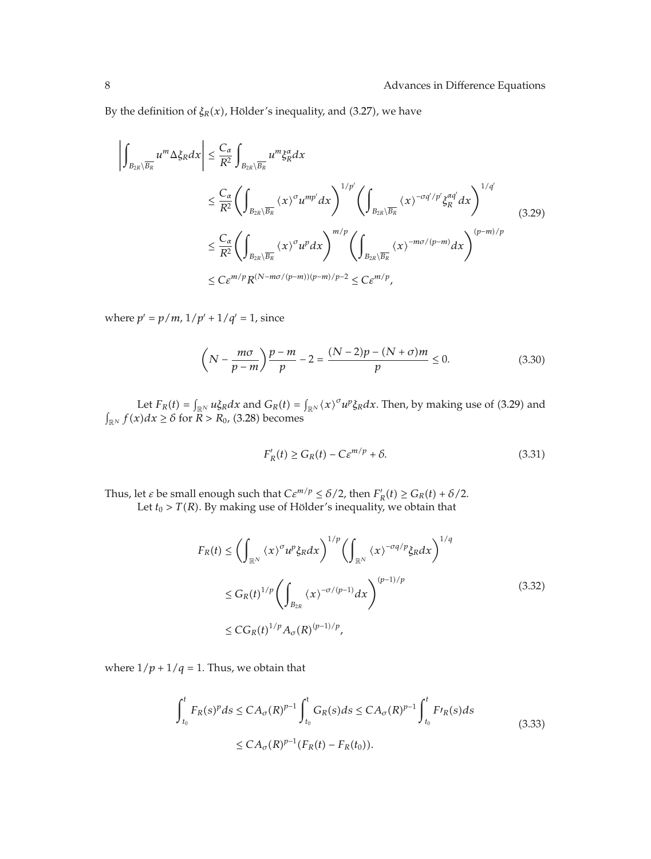By the definition of  $\xi_R(x)$ , Hölder's inequality, and (3.27), we have

$$
\left| \int_{B_{2R}\setminus\overline{B_R}} u^m \Delta \xi_R dx \right| \leq \frac{C_{\alpha}}{R^2} \int_{B_{2R}\setminus\overline{B_R}} u^m \xi_R^{\alpha} dx
$$
\n
$$
\leq \frac{C_{\alpha}}{R^2} \left( \int_{B_{2R}\setminus\overline{B_R}} \langle x \rangle^{\sigma} u^{mp'} dx \right)^{1/p'} \left( \int_{B_{2R}\setminus\overline{B_R}} \langle x \rangle^{-\sigma q'/p'} \xi_R^{\alpha q'} dx \right)^{1/q'}
$$
\n
$$
\leq \frac{C_{\alpha}}{R^2} \left( \int_{B_{2R}\setminus\overline{B_R}} \langle x \rangle^{\sigma} u^p dx \right)^{m/p} \left( \int_{B_{2R}\setminus\overline{B_R}} \langle x \rangle^{-m\sigma/(p-m)} dx \right)^{(p-m)/p}
$$
\n
$$
\leq C \varepsilon^{m/p} R^{(N-m\sigma/(p-m))(p-m)/p-2} \leq C \varepsilon^{m/p},
$$
\n(3.29)

where  $p' = p/m$ ,  $1/p' + 1/q' = 1$ , since

$$
\left(N - \frac{m\sigma}{p - m}\right)\frac{p - m}{p} - 2 = \frac{(N - 2)p - (N + \sigma)m}{p} \le 0.
$$
\n(3.30)

Let  $F_R(t) = \int_{\mathbb{R}^N} u \xi_R dx$  and  $G_R(t) = \int_{\mathbb{R}^N} \langle x \rangle^{\sigma} u^p \xi_R dx$ . Then, by making use of (3.29) and  $\int_{\mathbb{R}^N} f(x) dx \ge \delta$  for  $R > R_0$ , (3.28) becomes

$$
F_R'(t) \ge G_R(t) - C\varepsilon^{m/p} + \delta. \tag{3.31}
$$

Thus, let *ε* be small enough such that  $C\varepsilon^{m/p} \le \delta/2$ , then  $F_R'(t) \ge G_R(t) + \delta/2$ . Let  $t_0 > T(R)$ . By making use of Hölder's inequality, we obtain that

$$
F_R(t) \le \left(\int_{\mathbb{R}^N} \langle x \rangle^{\sigma} u^p \xi_R dx\right)^{1/p} \left(\int_{\mathbb{R}^N} \langle x \rangle^{-\sigma q/p} \xi_R dx\right)^{1/q}
$$
  

$$
\le G_R(t)^{1/p} \left(\int_{B_{2R}} \langle x \rangle^{-\sigma/(p-1)} dx\right)^{(p-1)/p}
$$
  

$$
\le CG_R(t)^{1/p} A_{\sigma}(R)^{(p-1)/p}, \tag{3.32}
$$

where  $1/p + 1/q = 1$ . Thus, we obtain that

$$
\int_{t_0}^{t} F_R(s)^p ds \le C A_{\sigma}(R)^{p-1} \int_{t_0}^{t} G_R(s) ds \le C A_{\sigma}(R)^{p-1} \int_{t_0}^{t} F_l(r(s)) ds
$$
\n
$$
\le C A_{\sigma}(R)^{p-1} (F_R(t) - F_R(t_0)).
$$
\n(3.33)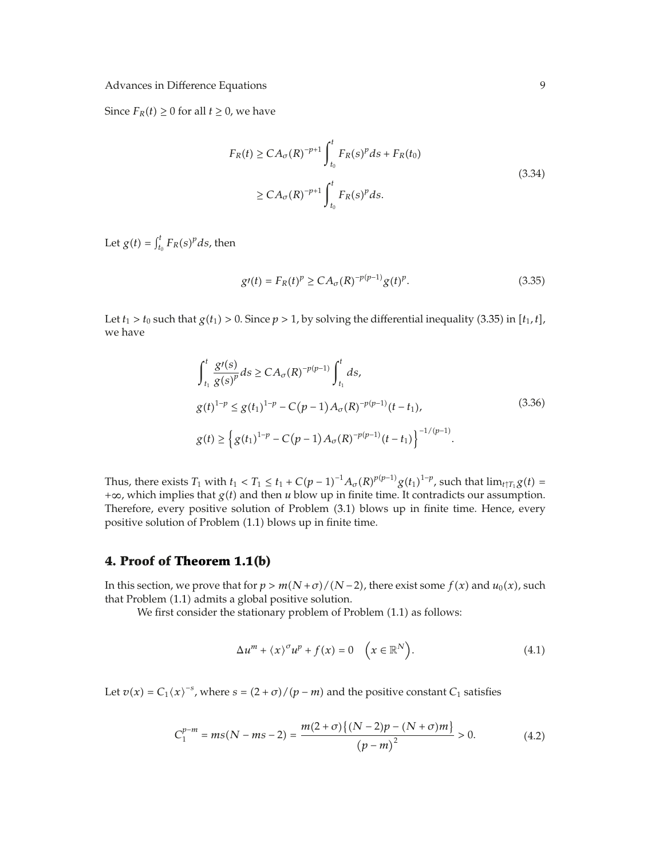Since  $F_R(t) \geq 0$  for all  $t \geq 0$ , we have

$$
F_R(t) \geq CA_{\sigma}(R)^{-p+1} \int_{t_0}^t F_R(s)^p ds + F_R(t_0)
$$
  
\n
$$
\geq CA_{\sigma}(R)^{-p+1} \int_{t_0}^t F_R(s)^p ds.
$$
\n(3.34)

Let  $g(t) = \int_{t_0}^t F_R(s)^p ds$ , then

$$
g'(t) = F_R(t)^p \ge C A_\sigma(R)^{-p(p-1)} g(t)^p. \tag{3.35}
$$

Let  $t_1 > t_0$  such that  $g(t_1) > 0$ . Since  $p > 1$ , by solving the differential inequality (3.35) in  $[t_1, t]$ , we have

$$
\int_{t_1}^{t} \frac{g'(s)}{g(s)^p} ds \ge CA_{\sigma}(R)^{-p(p-1)} \int_{t_1}^{t} ds,
$$
\n
$$
g(t)^{1-p} \le g(t_1)^{1-p} - C(p-1)A_{\sigma}(R)^{-p(p-1)}(t-t_1),
$$
\n
$$
g(t) \ge \left\{ g(t_1)^{1-p} - C(p-1)A_{\sigma}(R)^{-p(p-1)}(t-t_1) \right\}^{-1/(p-1)}.
$$
\n(3.36)

Thus, there exists  $T_1$  with  $t_1 < T_1 \le t_1 + C(p-1)^{-1}A_\sigma(R)^{p(p-1)}g(t_1)^{1-p}$ , such that  $\lim_{t \uparrow T_1} g(t) =$  $+\infty$ , which implies that *g(t)* and then *u* blow up in finite time. It contradicts our assumption. Therefore, every positive solution of Problem  $(3.1)$  blows up in finite time. Hence, every positive solution of Problem (1.1) blows up in finite time.

# **4. Proof of Theorem 1.1(b)**

In this section, we prove that for  $p > m(N + \sigma)/(N - 2)$ , there exist some  $f(x)$  and  $u_0(x)$ , such that Problem (1.1) admits a global positive solution.

We first consider the stationary problem of Problem (1.1) as follows:

$$
\Delta u^{m} + \langle x \rangle^{\sigma} u^{p} + f(x) = 0 \quad \left( x \in \mathbb{R}^{N} \right).
$$
 (4.1)

Let  $v(x) = C_1(x)^{-s}$ , where  $s = (2 + \sigma) / (p - m)$  and the positive constant  $C_1$  satisfies

$$
C_1^{p-m} = ms(N - ms - 2) = \frac{m(2 + \sigma)\{(N - 2)p - (N + \sigma)m\}}{(p - m)^2} > 0.
$$
 (4.2)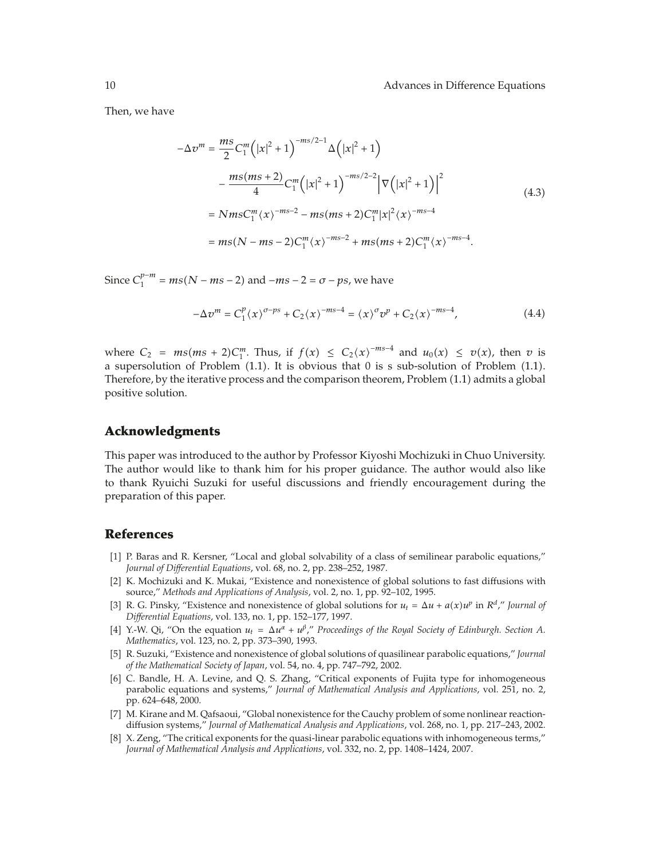Then, we have

$$
-\Delta v^{m} = \frac{ms}{2}C_{1}^{m} (|x|^{2} + 1)^{-ms/2-1} \Delta (|x|^{2} + 1)
$$
  

$$
-\frac{ms(ms + 2)}{4}C_{1}^{m} (|x|^{2} + 1)^{-ms/2-2} |\nabla (|x|^{2} + 1)|^{2}
$$
  

$$
= NmsC_{1}^{m} \langle x \rangle^{-ms-2} - ms(ms + 2)C_{1}^{m} |x|^{2} \langle x \rangle^{-ms-4}
$$
  

$$
= ms(N - ms - 2)C_{1}^{m} \langle x \rangle^{-ms-2} + ms(ms + 2)C_{1}^{m} \langle x \rangle^{-ms-4}.
$$
 (4.3)

Since  $C_1^{p-m}$  =  $ms(N - ms - 2)$  and  $-ms - 2 = \sigma - ps$ , we have

$$
-\Delta v^{m} = C_{1}^{p} \langle x \rangle^{\sigma - ps} + C_{2} \langle x \rangle^{-ms-4} = \langle x \rangle^{\sigma} v^{p} + C_{2} \langle x \rangle^{-ms-4}, \tag{4.4}
$$

where  $C_2$  =  $ms(ms + 2)C_1^m$ . Thus, if  $f(x) \le C_2(x)^{-ms-4}$  and  $u_0(x) \le v(x)$ , then *v* is a supersolution of Problem  $(1.1)$ . It is obvious that 0 is s sub-solution of Problem  $(1.1)$ . Therefore, by the iterative process and the comparison theorem, Problem 1.1 admits a global positive solution.

#### **Acknowledgments**

This paper was introduced to the author by Professor Kiyoshi Mochizuki in Chuo University. The author would like to thank him for his proper guidance. The author would also like to thank Ryuichi Suzuki for useful discussions and friendly encouragement during the preparation of this paper.

# **References**

- [1] P. Baras and R. Kersner, "Local and global solvability of a class of semilinear parabolic equations," *Journal of Differential Equations*, vol. 68, no. 2, pp. 238–252, 1987.
- [2] K. Mochizuki and K. Mukai, "Existence and nonexistence of global solutions to fast diffusions with source," *Methods and Applications of Analysis*, vol. 2, no. 1, pp. 92–102, 1995.
- [3] R. G. Pinsky, "Existence and nonexistence of global solutions for  $u_t = \Delta u + a(x)u^p$  in  $R^d$ ," *Journal of Differential Equations*, vol. 133, no. 1, pp. 152–177, 1997.
- [4] Y.-W. Qi, "On the equation  $u_t = \Delta u^{\alpha} + u^{\beta}$ ," *Proceedings of the Royal Society of Edinburgh. Section A. Mathematics*, vol. 123, no. 2, pp. 373–390, 1993.
- 5 R. Suzuki, "Existence and nonexistence of global solutions of quasilinear parabolic equations," *Journal of the Mathematical Society of Japan*, vol. 54, no. 4, pp. 747–792, 2002.
- [6] C. Bandle, H. A. Levine, and Q. S. Zhang, "Critical exponents of Fujita type for inhomogeneous parabolic equations and systems," *Journal of Mathematical Analysis and Applications*, vol. 251, no. 2, pp. 624–648, 2000.
- [7] M. Kirane and M. Qafsaoui, "Global nonexistence for the Cauchy problem of some nonlinear reactiondiffusion systems," *Journal of Mathematical Analysis and Applications*, vol. 268, no. 1, pp. 217–243, 2002.
- [8] X. Zeng, "The critical exponents for the quasi-linear parabolic equations with inhomogeneous terms," *Journal of Mathematical Analysis and Applications*, vol. 332, no. 2, pp. 1408–1424, 2007.